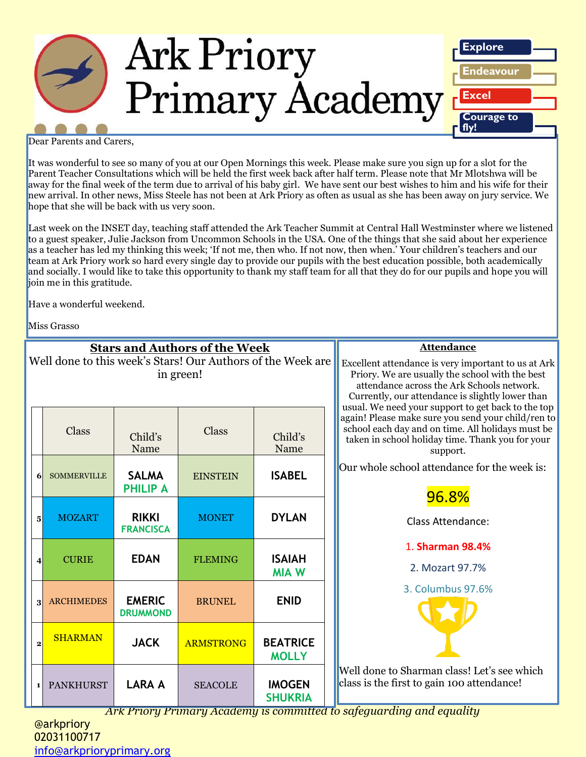

Dear Parents and Carers,

It was wonderful to see so many of you at our Open Mornings this week. Please make sure you sign up for a slot for the Parent Teacher Consultations which will be held the first week back after half term. Please note that Mr Mlotshwa will be away for the final week of the term due to arrival of his baby girl. We have sent our best wishes to him and his wife for their new arrival. In other news, Miss Steele has not been at Ark Priory as often as usual as she has been away on jury service. We hope that she will be back with us very soon.

Last week on the INSET day, teaching staff attended the Ark Teacher Summit at Central Hall Westminster where we listened to a guest speaker, Julie Jackson from Uncommon Schools in the USA. One of the things that she said about her experience as a teacher has led my thinking this week; 'If not me, then who. If not now, then when.' Your children's teachers and our team at Ark Priory work so hard every single day to provide our pupils with the best education possible, both academically and socially. I would like to take this opportunity to thank my staff team for all that they do for our pupils and hope you will join me in this gratitude.

Have a wonderful weekend.

Miss Grasso

|                                                                          |                    |                                  | <b>Stars and Authors of the Week</b> | <b>Attendance</b>               |                                                                                                                                                                                                                                                                |
|--------------------------------------------------------------------------|--------------------|----------------------------------|--------------------------------------|---------------------------------|----------------------------------------------------------------------------------------------------------------------------------------------------------------------------------------------------------------------------------------------------------------|
| Well done to this week's Stars! Our Authors of the Week are<br>in green! |                    |                                  |                                      |                                 | Excellent attendance is very important to us at Ark<br>Priory. We are usually the school with the best<br>attendance across the Ark Schools network.<br>Currently, our attendance is slightly lower than<br>usual. We need your support to get back to the top |
|                                                                          | <b>Class</b>       | Child's<br>Name                  | <b>Class</b>                         | Child's<br>Name                 | again! Please make sure you send your child/ren to<br>school each day and on time. All holidays must be<br>taken in school holiday time. Thank you for your<br>support.                                                                                        |
| 6                                                                        | <b>SOMMERVILLE</b> | <b>SALMA</b><br><b>PHILIP A</b>  | <b>EINSTEIN</b>                      | <b>ISABEL</b>                   | Our whole school attendance for the week is:<br>96.8%                                                                                                                                                                                                          |
| $5\overline{5}$                                                          | <b>MOZART</b>      | <b>RIKKI</b><br><b>FRANCISCA</b> | <b>MONET</b>                         | <b>DYLAN</b>                    | <b>Class Attendance:</b>                                                                                                                                                                                                                                       |
| $\overline{4}$                                                           | <b>CURIE</b>       | <b>EDAN</b>                      | <b>FLEMING</b>                       | <b>ISAIAH</b><br><b>MIA W</b>   | 1. Sharman 98.4%<br>2. Mozart 97.7%                                                                                                                                                                                                                            |
| $\mathbf{3}$                                                             | <b>ARCHIMEDES</b>  | <b>EMERIC</b><br><b>DRUMMOND</b> | <b>BRUNEL</b>                        | <b>ENID</b>                     | 3. Columbus 97.6%                                                                                                                                                                                                                                              |
| $\overline{2}$                                                           | <b>SHARMAN</b>     | <b>JACK</b>                      | <b>ARMSTRONG</b>                     | <b>BEATRICE</b><br><b>MOLLY</b> |                                                                                                                                                                                                                                                                |
| $\mathbf{1}$                                                             | <b>PANKHURST</b>   | <b>LARA A</b>                    | <b>SEACOLE</b>                       | <b>IMOGEN</b><br><b>SHUKRIA</b> | Well done to Sharman class! Let's see which<br>class is the first to gain 100 attendance!                                                                                                                                                                      |

*Ark Priory Primary Academy is committed to safeguarding and equality* 

@arkpriory 02031100717 [info@arkprioryprimary.org](mailto:info@arkprioryprimary.org)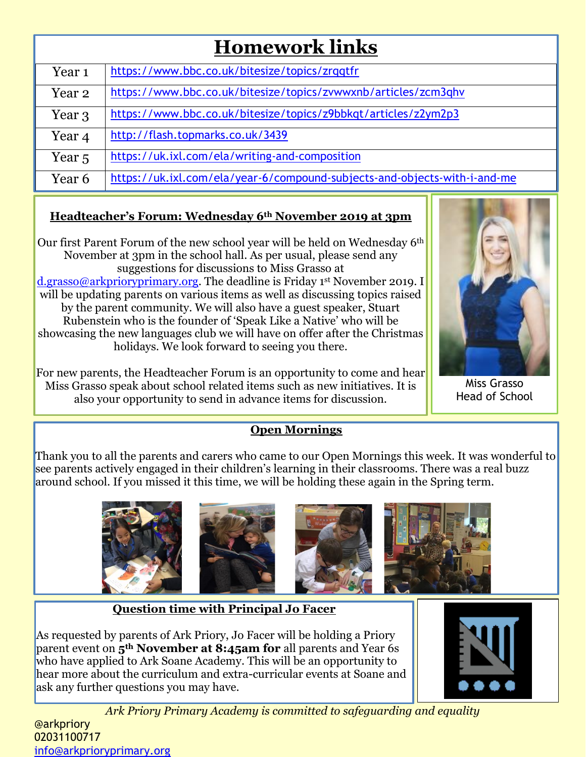## **Homework links**

| Year <sub>1</sub> | https://www.bbc.co.uk/bitesize/topics/zrqqtfr                             |
|-------------------|---------------------------------------------------------------------------|
| Year 2            | https://www.bbc.co.uk/bitesize/topics/zvwwxnb/articles/zcm3qhv            |
| Year 3            | https://www.bbc.co.uk/bitesize/topics/z9bbkqt/articles/z2ym2p3            |
| Year 4            | http://flash.topmarks.co.uk/3439                                          |
| Year <sub>5</sub> | https://uk.ixl.com/ela/writing-and-composition                            |
| Year 6            | https://uk.ixl.com/ela/year-6/compound-subjects-and-objects-with-i-and-me |

#### **Headteacher's Forum: Wednesday 6th November 2019 at 3pm**

Our first Parent Forum of the new school year will be held on Wednesday 6th November at 3pm in the school hall. As per usual, please send any suggestions for discussions to Miss Grasso at [d.grasso@arkprioryprimary.org.](mailto:d.grasso@arkprioryprimary.org) The deadline is Friday 1<sup>st</sup> November 2019. I will be updating parents on various items as well as discussing topics raised by the parent community. We will also have a guest speaker, Stuart Rubenstein who is the founder of 'Speak Like a Native' who will be showcasing the new languages club we will have on offer after the Christmas holidays. We look forward to seeing you there.

For new parents, the Headteacher Forum is an opportunity to come and hear Miss Grasso speak about school related items such as new initiatives. It is also your opportunity to send in advance items for discussion.

#### **Open Mornings**

Thank you to all the parents and carers who came to our Open Mornings this week. It was wonderful to see parents actively engaged in their children's learning in their classrooms. There was a real buzz around school. If you missed it this time, we will be holding these again in the Spring term.



#### **Question time with Principal Jo Facer**

As requested by parents of Ark Priory, Jo Facer will be holding a Priory parent event on **5th November at 8:45am for** all parents and Year 6s who have applied to Ark Soane Academy. This will be an opportunity to hear more about the curriculum and extra-curricular events at Soane and ask any further questions you may have.



Miss Grasso Head of School

*Ark Priory Primary Academy is committed to safeguarding and equality* 

#### @arkpriory 02031100717 [info@arkprioryprimary.org](mailto:info@arkprioryprimary.org)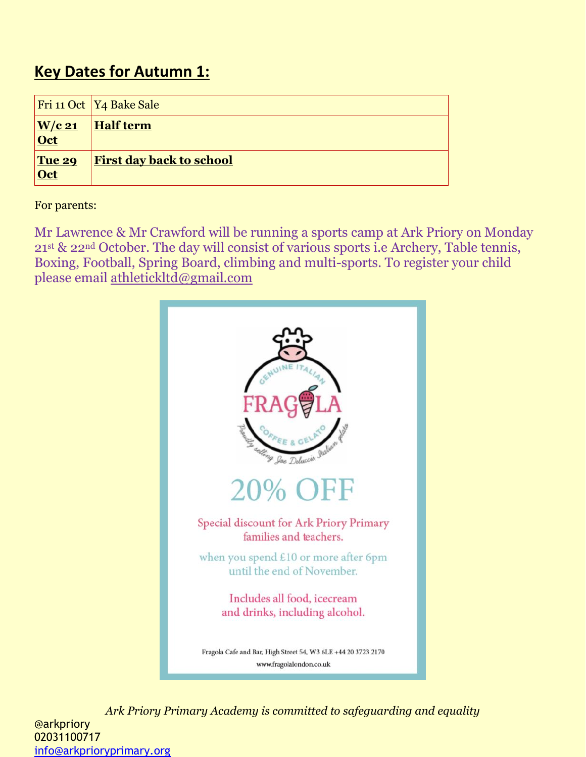### **Key Dates for Autumn 1:**

|                                    | Fri 11 Oct   Y4 Bake Sale       |
|------------------------------------|---------------------------------|
| $\underline{\text{W/c 21}}$<br>Oct | <b>Half term</b>                |
| Tue 29<br>Oct                      | <b>First day back to school</b> |

For parents:

Mr Lawrence & Mr Crawford will be running a sports camp at Ark Priory on Monday 21st & 22nd October. The day will consist of various sports i.e Archery, Table tennis, Boxing, Football, Spring Board, climbing and multi-sports. To register your child please email [athletickltd@gmail.com](mailto:athletickltd@gmail.com)



*Ark Priory Primary Academy is committed to safeguarding and equality*  @arkpriory 02031100717 [info@arkprioryprimary.org](mailto:info@arkprioryprimary.org)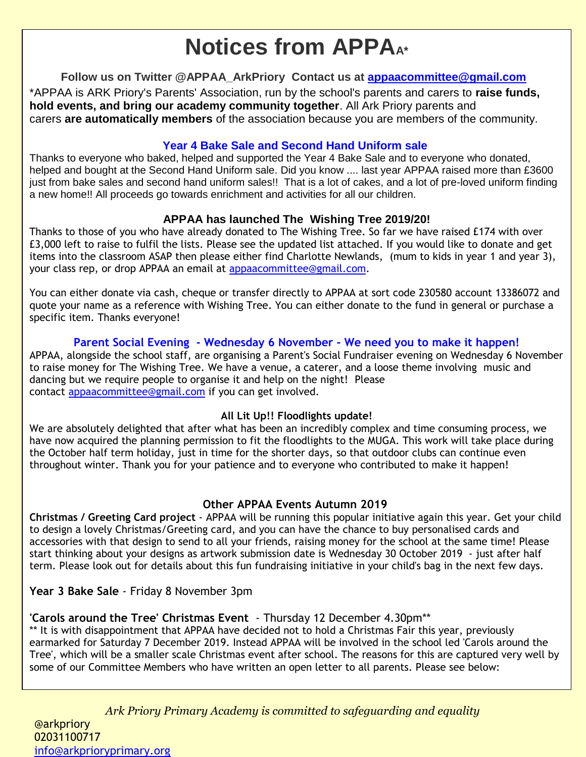# **Notices from APPA**

**Follow us on Twitter @APPAA\_ArkPriory Contact us at [appaacommittee@gmail.com](mailto:appaacommittee@gmail.com)**

\*APPAA is ARK Priory's Parents' Association, run by the school's parents and carers to **raise funds, hold events, and bring our academy community together**. All Ark Priory parents and carers **are automatically members** of the association because you are members of the community.

#### **Year 4 Bake Sale and Second Hand Uniform sale**

Thanks to everyone who baked, helped and supported the Year 4 Bake Sale and to everyone who donated, helped and bought at the Second Hand Uniform sale. Did you know .... last year APPAA raised more than £3600 just from bake sales and second hand uniform sales!! That is a lot of cakes, and a lot of pre-loved uniform finding a new home!! All proceeds go towards enrichment and activities for all our children.

#### **APPAA has launched The Wishing Tree 2019/20!**

Thanks to those of you who have already donated to The Wishing Tree. So far we have raised £174 with over £3,000 left to raise to fulfil the lists. Please see the updated list attached. If you would like to donate and get items into the classroom ASAP then please either find Charlotte Newlands, (mum to kids in year 1 and year 3), your class rep, or drop APPAA an email at [appaacommittee@gmail.com.](mailto:appaacommittee@gmail.com)

You can either donate via cash, cheque or transfer directly to APPAA at sort code 230580 account 13386072 and quote your name as a reference with Wishing Tree. You can either donate to the fund in general or purchase a specific item. Thanks everyone!

#### **Parent Social Evening - Wednesday 6 November - We need you to make it happen!**

APPAA, alongside the school staff, are organising a Parent's Social Fundraiser evening on Wednesday 6 November to raise money for The Wishing Tree. We have a venue, a caterer, and a loose theme involving music and dancing but we require people to organise it and help on the night! Please contact [appaacommittee@gmail.com](mailto:appaacommittee@gmail.com) if you can get involved.

#### **All Lit Up!! Floodlights update!**

We are absolutely delighted that after what has been an incredibly complex and time consuming process, we have now acquired the planning permission to fit the floodlights to the MUGA. This work will take place during the October half term holiday, just in time for the shorter days, so that outdoor clubs can continue even throughout winter. Thank you for your patience and to everyone who contributed to make it happen!

#### **Other APPAA Events Autumn 2019**

**Christmas / Greeting Card project** - APPAA will be running this popular initiative again this year. Get your child to design a lovely Christmas/Greeting card, and you can have the chance to buy personalised cards and accessories with that design to send to all your friends, raising money for the school at the same time! Please start thinking about your designs as artwork submission date is Wednesday 30 October 2019 - just after half term. Please look out for details about this fun fundraising initiative in your child's bag in the next few days.

**Year 3 Bake Sale** - Friday 8 November 3pm

#### **'Carols around the Tree' Christmas Event** - Thursday 12 December 4.30pm\*\*

\*\* It is with disappointment that APPAA have decided not to hold a Christmas Fair this year, previously earmarked for Saturday 7 December 2019. Instead APPAA will be involved in the school led 'Carols around the Tree', which will be a smaller scale Christmas event after school. The reasons for this are captured very well by some of our Committee Members who have written an open letter to all parents. Please see below:

*Ark Priory Primary Academy is committed to safeguarding and equality*  @arkpriory *Dear Parents,* 02031100717 [info@arkprioryprimary.org](mailto:info@arkprioryprimary.org)  *Every year since Ark Priory opened back in 2013, APPAA has held a Christmas Fair in early December.*